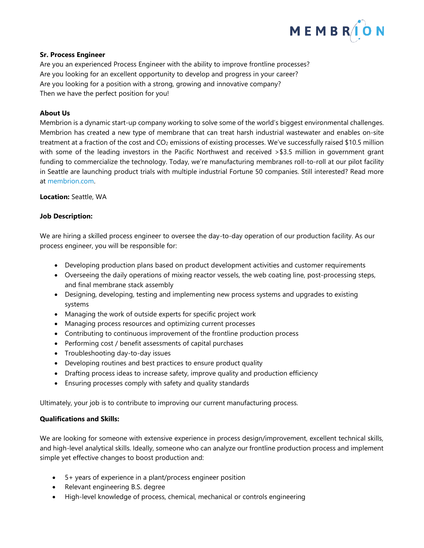

# **Sr. Process Engineer**

Are you an experienced Process Engineer with the ability to improve frontline processes? Are you looking for an excellent opportunity to develop and progress in your career? Are you looking for a position with a strong, growing and innovative company? Then we have the perfect position for you!

# **About Us**

Membrion is a dynamic start-up company working to solve some of the world's biggest environmental challenges. Membrion has created a new type of membrane that can treat harsh industrial wastewater and enables on-site treatment at a fraction of the cost and  $CO<sub>2</sub>$  emissions of existing processes. We've successfully raised \$10.5 million with some of the leading investors in the Pacific Northwest and received > \$3.5 million in government grant funding to commercialize the technology. Today, we're manufacturing membranes roll-to-roll at our pilot facility in Seattle are launching product trials with multiple industrial Fortune 50 companies. Still interested? Read more at [membrion.com.](http://www.membrion.com/)

#### **Location:** Seattle, WA

### **Job Description:**

We are hiring a skilled process engineer to oversee the day-to-day operation of our production facility. As our process engineer, you will be responsible for:

- Developing production plans based on product development activities and customer requirements
- Overseeing the daily operations of mixing reactor vessels, the web coating line, post-processing steps, and final membrane stack assembly
- Designing, developing, testing and implementing new process systems and upgrades to existing systems
- Managing the work of outside experts for specific project work
- Managing process resources and optimizing current processes
- Contributing to continuous improvement of the frontline production process
- Performing cost / benefit assessments of capital purchases
- Troubleshooting day-to-day issues
- Developing routines and best practices to ensure product quality
- Drafting process ideas to increase safety, improve quality and production efficiency
- Ensuring processes comply with safety and quality standards

Ultimately, your job is to contribute to improving our current manufacturing process.

### **Qualifications and Skills:**

We are looking for someone with extensive experience in process design/improvement, excellent technical skills, and high-level analytical skills. Ideally, someone who can analyze our frontline production process and implement simple yet effective changes to boost production and:

- 5+ years of experience in a plant/process engineer position
- Relevant engineering B.S. degree
- High-level knowledge of process, chemical, mechanical or controls engineering